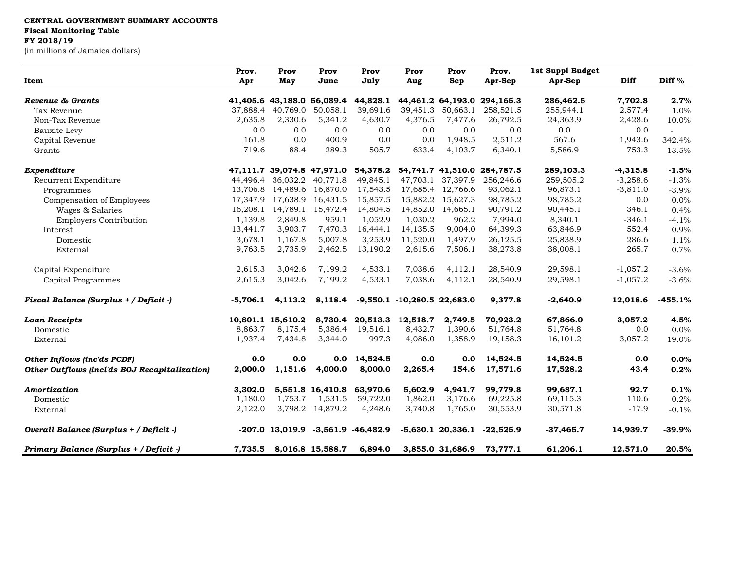## **CENTRAL GOVERNMENT SUMMARY ACCOUNTS**

## **Fiscal Monitoring Table**

**FY 2018/19**

(in millions of Jamaica dollars)

|                                               | Prov.      | Prov              | Prov                       | Prov                   | Prov                            | Prov                | Prov.                                | 1st Suppl Budget |            |                   |
|-----------------------------------------------|------------|-------------------|----------------------------|------------------------|---------------------------------|---------------------|--------------------------------------|------------------|------------|-------------------|
| Item                                          | Apr        | May               | June                       | July                   | Aug                             | Sep                 | Apr-Sep                              | Apr-Sep          | Diff       | Diff <sup>%</sup> |
|                                               |            |                   |                            |                        |                                 |                     |                                      |                  |            |                   |
| Revenue & Grants                              |            |                   | 41,405.6 43,188.0 56,089.4 | 44,828.1               |                                 |                     | 44,461.2 64,193.0 294,165.3          | 286,462.5        | 7,702.8    | 2.7%              |
| Tax Revenue                                   | 37,888.4   | 40,769.0          | 50,058.1                   | 39,691.6               | 39,451.3                        | 50,663.1            | 258,521.5                            | 255,944.1        | 2,577.4    | 1.0%              |
| Non-Tax Revenue                               | 2,635.8    | 2,330.6           | 5,341.2                    | 4,630.7                | 4,376.5                         | 7,477.6             | 26,792.5                             | 24,363.9         | 2,428.6    | 10.0%             |
| Bauxite Levy                                  | 0.0        | 0.0               | 0.0                        | 0.0                    | 0.0                             | 0.0                 | 0.0                                  | 0.0              | 0.0        |                   |
| Capital Revenue                               | 161.8      | 0.0               | 400.9                      | 0.0                    | 0.0                             | 1,948.5             | 2,511.2                              | 567.6            | 1,943.6    | 342.4%            |
| Grants                                        | 719.6      | 88.4              | 289.3                      | 505.7                  | 633.4                           | 4,103.7             | 6,340.1                              | 5,586.9          | 753.3      | 13.5%             |
| Expenditure                                   |            |                   | 47,111.7 39,074.8 47,971.0 |                        |                                 |                     | 54,378.2 54,741.7 41,510.0 284,787.5 | 289,103.3        | $-4,315.8$ | $-1.5%$           |
| Recurrent Expenditure                         |            | 44,496.4 36,032.2 | 40,771.8                   | 49,845.1               | 47,703.1                        | 37,397.9            | 256,246.6                            | 259,505.2        | $-3,258.6$ | $-1.3%$           |
| Programmes                                    |            | 13,706.8 14,489.6 | 16,870.0                   | 17,543.5               | 17,685.4                        | 12,766.6            | 93,062.1                             | 96,873.1         | $-3,811.0$ | $-3.9%$           |
| Compensation of Employees                     | 17,347.9   | 17,638.9          | 16,431.5                   | 15,857.5               | 15,882.2                        | 15,627.3            | 98,785.2                             | 98,785.2         | 0.0        | 0.0%              |
| Wages & Salaries                              | 16,208.1   |                   | 14,789.1 15,472.4          | 14,804.5               | 14,852.0                        | 14,665.1            | 90,791.2                             | 90,445.1         | 346.1      | 0.4%              |
| <b>Employers Contribution</b>                 | 1,139.8    | 2,849.8           | 959.1                      | 1.052.9                | 1,030.2                         | 962.2               | 7,994.0                              | 8,340.1          | $-346.1$   | $-4.1%$           |
| Interest                                      | 13,441.7   | 3,903.7           | 7,470.3                    | 16,444.1               | 14,135.5                        | 9,004.0             | 64,399.3                             | 63,846.9         | 552.4      | 0.9%              |
| Domestic                                      | 3,678.1    | 1,167.8           | 5,007.8                    | 3,253.9                | 11,520.0                        | 1,497.9             | 26,125.5                             | 25,838.9         | 286.6      | 1.1%              |
| External                                      | 9,763.5    | 2,735.9           | 2,462.5                    | 13,190.2               | 2,615.6                         | 7,506.1             | 38,273.8                             | 38,008.1         | 265.7      | 0.7%              |
| Capital Expenditure                           | 2,615.3    | 3,042.6           | 7,199.2                    | 4,533.1                | 7,038.6                         | 4,112.1             | 28,540.9                             | 29,598.1         | $-1,057.2$ | $-3.6%$           |
| Capital Programmes                            | 2,615.3    | 3,042.6           | 7,199.2                    | 4,533.1                | 7,038.6                         | 4,112.1             | 28,540.9                             | 29,598.1         | $-1,057.2$ | $-3.6%$           |
| Fiscal Balance (Surplus + / Deficit -)        | $-5,706.1$ | 4,113.2           | 8,118.4                    |                        | $-9,550.1$ $-10,280.5$ 22,683.0 |                     | 9,377.8                              | $-2,640.9$       | 12,018.6   | $-455.1%$         |
| <b>Loan Receipts</b>                          |            | 10,801.1 15,610.2 | 8,730.4                    |                        | 20,513.3 12,518.7               | 2,749.5             | 70,923.2                             | 67,866.0         | 3,057.2    | 4.5%              |
| Domestic                                      | 8,863.7    | 8,175.4           | 5,386.4                    | 19,516.1               | 8,432.7                         | 1,390.6             | 51,764.8                             | 51,764.8         | 0.0        | 0.0%              |
| External                                      | 1,937.4    | 7,434.8           | 3,344.0                    | 997.3                  | 4,086.0                         | 1,358.9             | 19,158.3                             | 16,101.2         | 3,057.2    | 19.0%             |
| <b>Other Inflows (inc'ds PCDF)</b>            | 0.0        | 0.0               | 0.0                        | 14,524.5               | 0.0                             | 0.0                 | 14,524.5                             | 14,524.5         | 0.0        | 0.0%              |
| Other Outflows (incl'ds BOJ Recapitalization) | 2,000.0    | 1,151.6           | 4,000.0                    | 8,000.0                | 2,265.4                         | 154.6               | 17,571.6                             | 17,528.2         | 43.4       | 0.2%              |
| Amortization                                  | 3,302.0    |                   | 5,551.8 16,410.8           | 63,970.6               | 5,602.9                         | 4,941.7             | 99,779.8                             | 99,687.1         | 92.7       | 0.1%              |
| Domestic                                      | 1,180.0    | 1,753.7           | 1,531.5                    | 59,722.0               | 1,862.0                         | 3,176.6             | 69,225.8                             | 69,115.3         | 110.6      | 0.2%              |
| External                                      | 2,122.0    |                   | 3,798.2 14,879.2           | 4,248.6                | 3,740.8                         | 1,765.0             | 30,553.9                             | 30,571.8         | $-17.9$    | $-0.1%$           |
| Overall Balance (Surplus + / Deficit -)       |            | $-207.0$ 13,019.9 |                            | $-3,561.9$ $-46,482.9$ |                                 | $-5,630.1$ 20,336.1 | $-22,525.9$                          | $-37,465.7$      | 14,939.7   | $-39.9%$          |
| Primary Balance (Surplus + / Deficit -)       |            |                   | 7,735.5 8,016.8 15,588.7   | 6,894.0                |                                 | 3,855.0 31,686.9    | 73,777.1                             | 61,206.1         | 12,571.0   | 20.5%             |